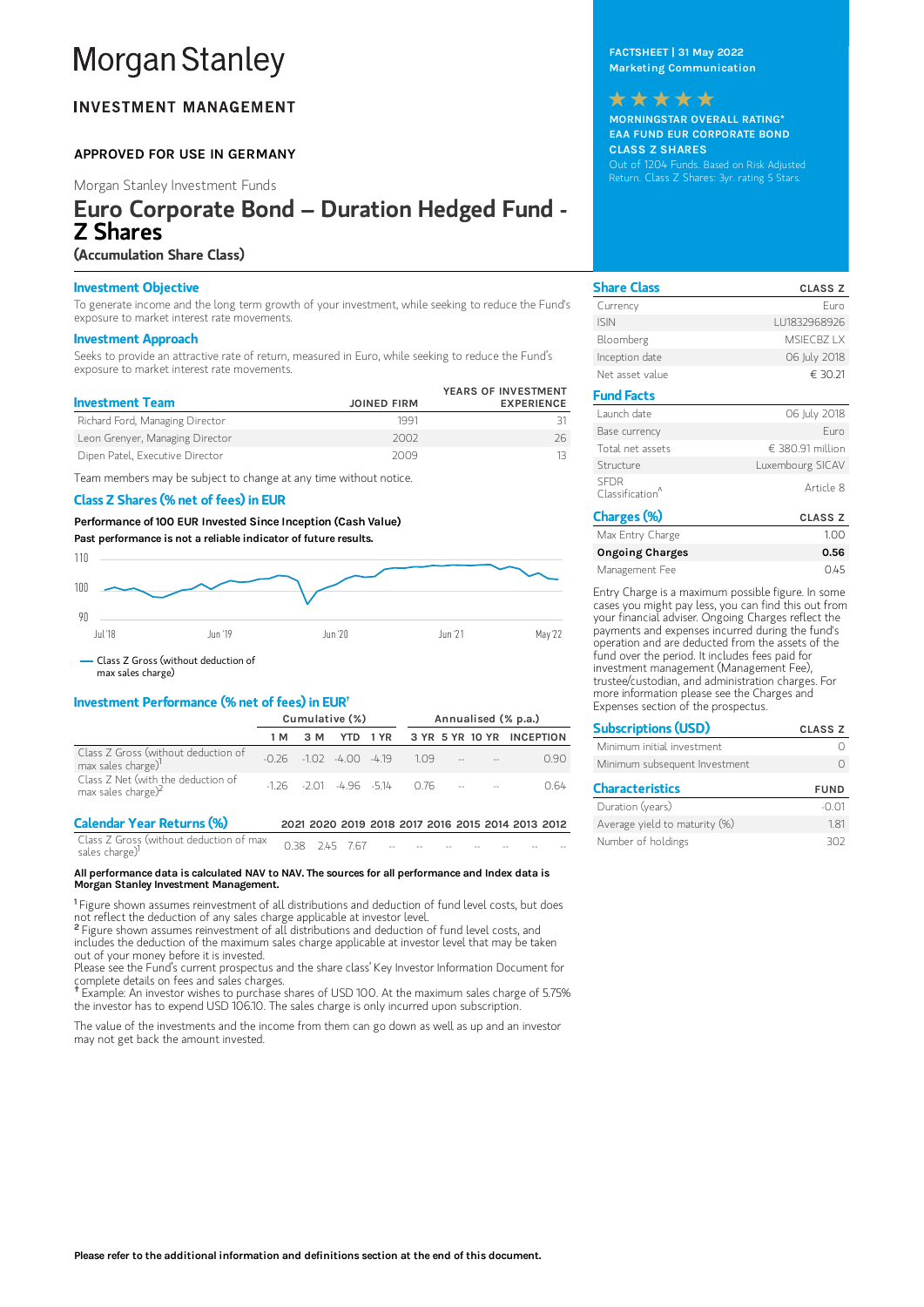# **Morgan Stanley**

# **INVESTMENT MANAGEMENT**

## APPROVED FOR USE IN GERMANY

Morgan Stanley Investment Funds

# Euro Corporate Bond – Duration Hedged Fund - Z Shares

## (Accumulation Share Class)

#### Investment Objective

To generate income and the long term growth of your investment, while seeking to reduce the Fund's exposure to market interest rate movements.

#### Investment Approach

Seeks to provide an attractive rate of return, measured in Euro, while seeking to reduce the Fund's exposure to market interest rate movements.

| <b>Investment Team</b>          | <b>JOINED FIRM</b> | YEARS OF INVESTMENT<br><b>EXPERIENCE</b> |
|---------------------------------|--------------------|------------------------------------------|
| Richard Ford, Managing Director | 1991               |                                          |
| Leon Grenyer, Managing Director | 2002               | 26.                                      |
| Dipen Patel, Executive Director | 2009               |                                          |

Team members may be subject to change at any time without notice.

## Class Z Shares (% net of fees) in EUR

Performance of 100 EUR Invested Since Inception (Cash Value) Past performance is not a reliable indicator of future results.



max sales charge)

## Investment Performance (% net of fees) in EUR †

|                                                                       | Cumulative (%)                             |     |  |  | Annualised (% p.a.)                         |  |  |                                   |
|-----------------------------------------------------------------------|--------------------------------------------|-----|--|--|---------------------------------------------|--|--|-----------------------------------|
|                                                                       | 1 M                                        | 3 M |  |  |                                             |  |  | YTD 1YR 3 YR 5 YR 10 YR INCEPTION |
| Class Z Gross (without deduction of<br>max sales charge) <sup>1</sup> | $-0.26$ $-1.02$ $-4.00$ $-4.19$ $1.09$ $-$ |     |  |  |                                             |  |  | O 90                              |
| Class $Z$ Net (with the deduction of max sales charge) <sup>2</sup>   |                                            |     |  |  | $-1.26$ $-2.01$ $-4.96$ $-5.14$ $0.76$ $ -$ |  |  | 0 64                              |

| <b>Calendar Year Returns (%)</b>                                                                   |  |  |                                     |  | 2021 2020 2019 2018 2017 2016 2015 2014 2013 2012 |
|----------------------------------------------------------------------------------------------------|--|--|-------------------------------------|--|---------------------------------------------------|
| $\frac{1}{2}$ Class Z Gross (without deduction of max 0.38 2.45 7.67<br>sales charge) <sup>1</sup> |  |  | the contract of the contract of the |  | $-$                                               |

#### All performance data is calculated NAV to NAV. The sources for all performance and Index data is Morgan Stanley Investment Management.

<sup>1</sup> Figure shown assumes reinvestment of all distributions and deduction of fund level costs, but does not reflect the deduction of any sales charge applicable at investor level.

<sup>2</sup> Figure shown assumes reinvestment of all distributions and deduction of fund level costs, and includes the deduction of the maximum sales charge applicable at investor level that may be taken out of your money before it is invested.

Please see the Fund's current prospectus and the share class' Key Investor Information Document for complete details on fees and sales charges.

Example: An investor wishes to purchase shares of USD 100. At the maximum sales charge of 5.75% **†** the investor has to expend USD 106.10. The sales charge is only incurred upon subscription

The value of the investments and the income from them can go down as well as up and an investor may not get back the amount invested.

FACTSHEET | 31 May 2022 Marketing Communication

## \*\*\*\*\*

MORNINGSTAR OVERALL RATING\* EAA FUND EUR CORPORATE BOND CLASS Z SHARES Out of 1204 Funds. Based on Risk Adjusted Return. Class Z Shares: 3yr. rating 5 Stars.

| <b>Share Class</b>                         | <b>CLASS Z</b>   |
|--------------------------------------------|------------------|
| Currency                                   | Furo             |
| <b>ISIN</b>                                | 111832968926     |
| Bloomberg                                  | MSIFCB7 IX       |
| Inception date                             | 06 July 2018     |
| Net asset value                            | € 30.21          |
| <b>Fund Facts</b>                          |                  |
| Launch date                                | 06 July 2018     |
| Base currency                              | Furo             |
| Total net assets                           | € 380.91 million |
| Structure                                  | Luxembourg SICAV |
| <b>SEDR</b><br>Classification <sup>^</sup> | Article 8        |
| Charges (%)                                | <b>CLASS Z</b>   |
| Max Entry Charge                           | 1.00             |
| <b>Ongoing Charges</b>                     | 0.56             |

Management Fee 0.45 Entry Charge is a maximum possible figure. In some

cases you might pay less, you can find this out from your financial adviser. Ongoing Charges reflect the payments and expenses incurred during the fund's operation and are deducted from the assets of the fund over the period. It includes fees paid for investment management (Management Fee), trustee/custodian, and administration charges. For more information please see the Charges and Expenses section of the prospectus.

| <b>Subscriptions (USD)</b>    | <b>CLASS Z</b> |
|-------------------------------|----------------|
| Minimum initial investment    |                |
| Minimum subsequent Investment |                |
| <b>Characteristics</b>        | <b>FUND</b>    |
| Duration (years)              | -0.01          |

Average yield to maturity (%) 1.81 Number of holdings 302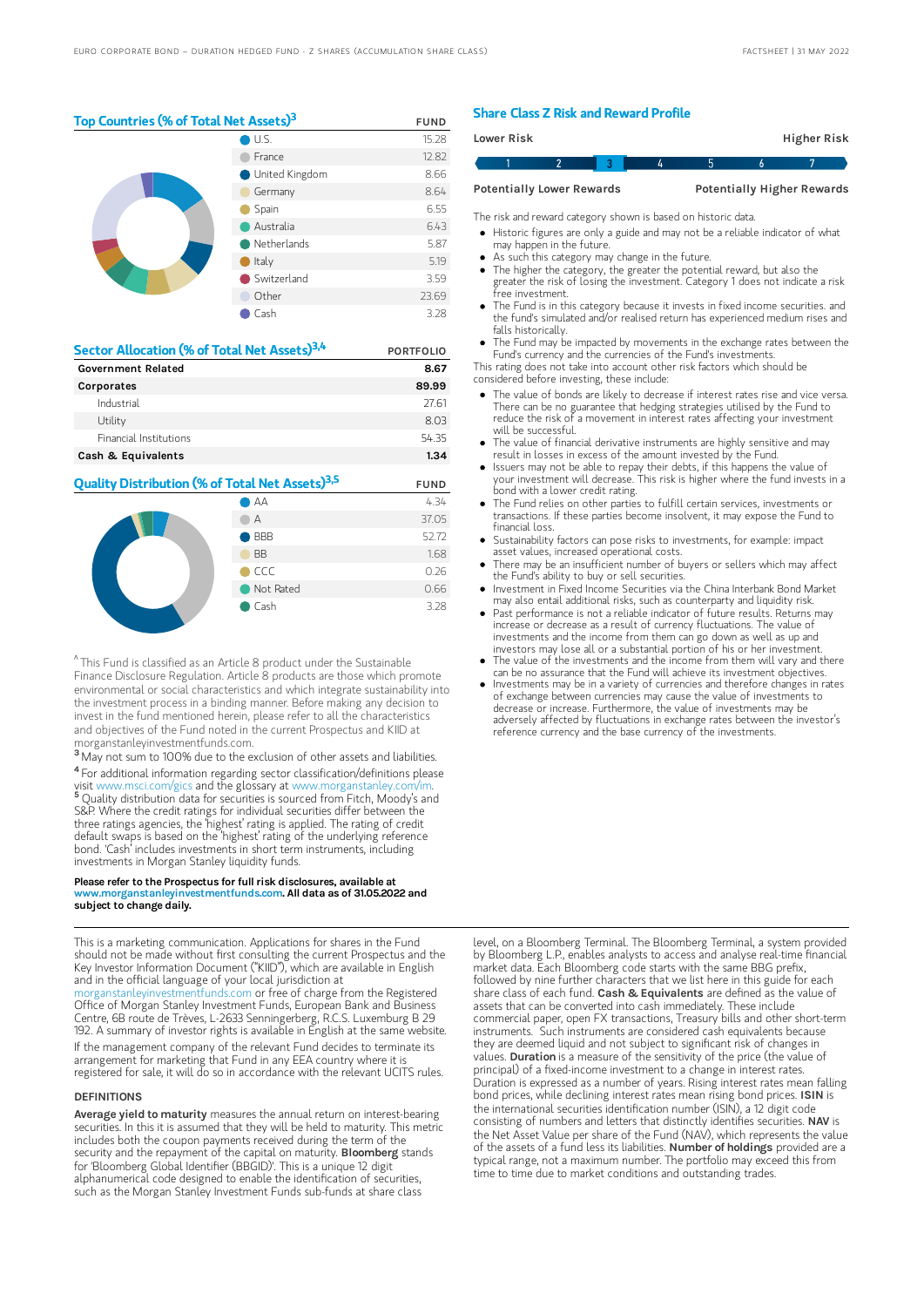Top Countries (% of Total Net Assets)<sup>3</sup> FUND U.S. 15.28 France 12.82 United Kingdom 8.66 Germany 8.64 Spain 6.55 Australia 6.43 Netherlands 5.87

> Switzerland 3.59 Other 23.69 Cash 3.28

Italy 5.19

| Sector Allocation (% of Total Net Assets) <sup>3,4</sup> | <b>PORTFOLIO</b> |
|----------------------------------------------------------|------------------|
| <b>Government Related</b>                                | 8.67             |
| Corporates                                               | 89.99            |
| Industrial                                               | 27.61            |
| Utility                                                  | 8.03             |
| <b>Financial Institutions</b>                            | 5435             |
| Cash & Equivalents                                       | 1.34             |

## **Quality Distribution (% of Total Net Assets)<sup>3,5</sup> FUND** AA 4.34



 $^{\wedge}$  This Fund is classified as an Article 8 product under the Sustainable Finance Disclosure Regulation. Article 8 products are those which promote environmental or social characteristics and which integrate sustainability into the investment process in a binding manner. Before making any decision to invest in the fund mentioned herein, please refer to all the characteristics and objectives of the Fund noted in the current Prospectus and KIID at morganstanleyinvestmentfunds.com.

<sup>3</sup> May not sum to 100% due to the exclusion of other assets and liabilities. <sup>4</sup> For additional information regarding sector classification/definitions please visit www.msci.com/gics and the glossary at www.morganstanley.com/im. <sup>5</sup> Quality distribution data for securities is sourced from Fitch, Moody's and S&P. Where the credit ratings for individual securities differ between the three ratings agencies, the 'highest' rating is applied. The rating of credit default swaps is based on the 'highest' rating of the underlying reference bond. 'Cash' includes investments in short term instruments, including investments in Morgan Stanley liquidity funds.

## Please refer to the Prospectus for full risk disclosures, available at<br>www.morganstanleyinvestmentfunds.com. All data as of 31.05.2022 and subject to change daily.

This is a marketing communication. Applications for shares in the Fund should not be made without first consulting the current Prospectus and the Key Investor Information Document ("KIID"), which are available in English and in the official language of your local jurisdiction at funds.com or free of charge from the Registered Office of Morgan Stanley Investment Funds, European Bank and Business Centre, 6B route de Trèves, L-2633 Senningerberg, R.C.S. Luxemburg B 29 192. A summary of investor rights is available in English at the same website. If the management company of the relevant Fund decides to terminate its arrangement for marketing that Fund in any EEA country where it is registered for sale, it will do so in accordance with the relevant UCITS rules.

#### **DEFINITIONS**

Average yield to maturity measures the annual return on interest-bearing securities. In this it is assumed that they will be held to maturity. This metric includes both the coupon payments received during the term of the security and the repayment of the capital on maturity. Bloomberg stands for 'Bloomberg Global Identifier (BBGID)'. This is a unique 12 digit alphanumerical code designed to enable the identification of securities, such as the Morgan Stanley Investment Funds sub-funds at share class

#### Share Class Z Risk and Reward Profile

| Lower Risk                       |  |  |   |                                   |  | Higher Risk |  |
|----------------------------------|--|--|---|-----------------------------------|--|-------------|--|
|                                  |  |  | 4 | h                                 |  |             |  |
| <b>Potentially Lower Rewards</b> |  |  |   | <b>Potentially Higher Rewards</b> |  |             |  |

The risk and reward category shown is based on historic data.

- Historic figures are only a guide and may not be a reliable indicator of what may happen in the future.
- As such this category may change in the future.
- The higher the category, the greater the potential reward, but also the greater the risk of losing the investment. Category 1 does not indicate a risk free investment.
- The Fund is in this category because it invests in fixed income securities. and the fund's simulated and/or realised return has experienced medium rises and falls historically.
- The Fund may be impacted by movements in the exchange rates between the Fund's currency and the currencies of the Fund's investments.

This rating does not take into account other risk factors which should be considered before investing, these include:

- The value of bonds are likely to decrease if interest rates rise and vice versa. There can be no guarantee that hedging strategies utilised by the Fund to reduce the risk of a movement in interest rates affecting your investment will be successful.
- The value of financial derivative instruments are highly sensitive and may result in losses in excess of the amount invested by the Fund.
- Issuers may not be able to repay their debts, if this happens the value of your investment will decrease. This risk is higher where the fund invests in a bond with a lower credit rating.
- The Fund relies on other parties to fulfill certain services, investments or transactions. If these parties become insolvent, it may expose the Fund to financial loss.
- Sustainability factors can pose risks to investments, for example: impact asset values, increased operational costs.
- There may be an insufficient number of buyers or sellers which may affect the Fund's ability to buy or sell securities.
- Investment in Fixed Income Securities via the China Interbank Bond Market mesument in the amesine securities that the entire interior in containing and liquidity risk.
- Past performance is not a reliable indicator of future results. Returns may increase or decrease as a result of currency fluctuations. The value of investments and the income from them can go down as well as up and investors may lose all or a substantial portion of his or her investment.
- The value of the investments and the income from them will vary and there can be no assurance that the Fund will achieve its investment objectives.
- Investments may be in a variety of currencies and therefore changes in rates of exchange between currencies may cause the value of investments to decrease or increase. Furthermore, the value of investments may be adversely affected by fluctuations in exchange rates between the investor's reference currency and the base currency of the investments.

level, on a Bloomberg Terminal. The Bloomberg Terminal, a system provided by Bloomberg L.P., enables analysts to access and analyse real-time financial market data. Each Bloomberg code starts with the same BBG prefix, followed by nine further characters that we list here in this guide for each share class of each fund. Cash & Equivalents are defined as the value of assets that can be converted into cash immediately. These include commercial paper, open FX transactions, Treasury bills and other short-term instruments. Such instruments are considered cash equivalents because they are deemed liquid and not subject to significant risk of changes in values. Duration is a measure of the sensitivity of the price (the value of principal) of a fixed-income investment to a change in interest rates. Duration is expressed as a number of years. Rising interest rates mean falling bond prices, while declining interest rates mean rising bond prices. ISIN is the international securities identification number (ISIN), a 12 digit code consisting of numbers and letters that distinctly identifies securities. NAV is the Net Asset Value per share of the Fund (NAV), which represents the value of the assets of a fund less its liabilities. Number of holdings provided are a typical range, not a maximum number. The portfolio may exceed this from time to time due to market conditions and outstanding trades.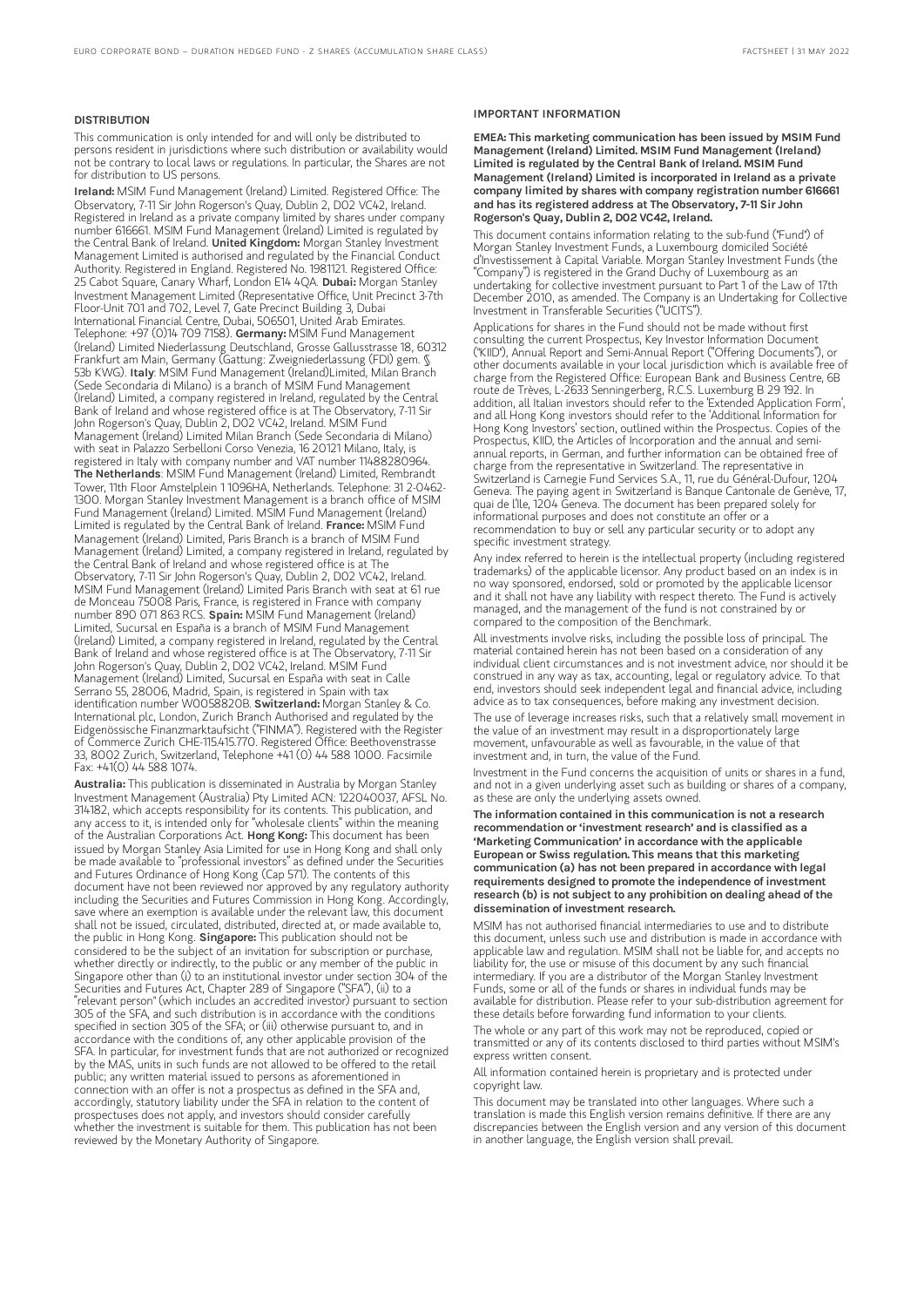#### DISTRIBUTION

This communication is only intended for and will only be distributed to persons resident in jurisdictions where such distribution or availability would not be contrary to local laws or regulations. In particular, the Shares are not for distribution to US persons.

Ireland: MSIM Fund Management (Ireland) Limited. Registered Office: The Observatory, 7-11 Sir John Rogerson's Quay, Dublin 2, DO2 VC42, Ireland. Registered in Ireland as a private company limited by shares under company number 616661. MSIM Fund Management (Ireland) Limited is regulated by the Central Bank of Ireland. United Kingdom: Morgan Stanley Investment Management Limited is authorised and regulated by the Financial Conduct Authority. Registered in England. Registered No. 1981121. Registered Office: 25 Cabot Square, Canary Wharf, London E14 4QA. Dubai: Morgan Stanley Investment Management Limited (Representative Office, Unit Precinct 3-7th Floor-Unit 701 and 702, Level 7, Gate Precinct Building 3, Dubai International Financial Centre, Dubai, 506501, United Arab Emirates. Telephone: +97 (0)14 709 7158). Germany: MSIM Fund Management (Ireland) Limited Niederlassung Deutschland, Grosse Gallusstrasse 18, 60312 Frankfurt am Main, Germany (Gattung: Zweigniederlassung (FDI) gem. §<br>53b KWG). **Italy**: MSIM Fund Management (Ireland)Limited, Milan Branch (Sede Secondaria di Milano) is a branch of MSIM Fund Management (Ireland) Limited, a company registered in Ireland, regulated by the Central Bank of Ireland and whose registered office is at The Observatory, 7-11 Sir John Rogerson's Quay, Dublin 2, D02 VC42, Ireland. MSIM Fund Management (Ireland) Limited Milan Branch (Sede Secondaria di Milano) with seat in Palazzo Serbelloni Corso Venezia, 16 20121 Milano, Italy, is registered in Italy with company number and VAT number 11488280964. The Netherlands: MSIM Fund Management (Ireland) Limited, Rembrandt Tower, 11th Floor Amstelplein 1 1096HA, Netherlands. Telephone: 31 2-0462- 1300. Morgan Stanley Investment Management is a branch office of MSIM Fund Management (Ireland) Limited. MSIM Fund Management (Ireland) Limited is regulated by the Central Bank of Ireland. France: MSIM Fund Management (Ireland) Limited, Paris Branch is a branch of MSIM Fund Management (Ireland) Limited, a company registered in Ireland, regulated by the Central Bank of Ireland and whose registered office is at The Observatory, 7-11 Sir John Rogerson's Quay, Dublin 2, D02 VC42, Ireland. MSIM Fund Management (Ireland) Limited Paris Branch with seat at 61 rue de Monceau 75008 Paris, France, is registered in France with company<br>number 890 071 863 RCS. **Spain:** MSIM Fund Management (Ireland) Limited, Sucursal en España is a branch of MSIM Fund Management (Ireland) Limited, a company registered in Ireland, regulated by the Central Bank of Ireland and whose registered office is at The Observatory, 7-11 Sir John Rogerson's Quay, Dublin 2, D02 VC42, Ireland. MSIM Fund Management (Ireland) Limited, Sucursal en España with seat in Calle Serrano 55, 28006, Madrid, Spain, is registered in Spain with tax identification number W0058820B. Switzerland: Morgan Stanley & Co. International plc, London, Zurich Branch Authorised and regulated by the Eidgenössische Finanzmarktaufsicht ("FINMA"). Registered with the Register of Commerce Zurich CHE-115.415.770. Registered Office: Beethovenstrasse 33, 8002 Zurich, Switzerland, Telephone +41 (0) 44 588 1000. Facsimile Fax: +41(0) 44 588 1074.

Australia: This publication is disseminated in Australia by Morgan Stanley Investment Management (Australia) Pty Limited ACN: 122040037, AFSL No. 314182, which accepts responsibility for its contents. This publication, and any access to it, is intended only for "wholesale clients" within the meaning of the Australian Corporations Act. Hong Kong: This document has been issued by Morgan Stanley Asia Limited for use in Hong Kong and shall only be made available to "professional investors" as defined under the Securities and Futures Ordinance of Hong Kong (Cap 571). The contents of this document have not been reviewed nor approved by any regulatory authority including the Securities and Futures Commission in Hong Kong. Accordingly, save where an exemption is available under the relevant law, this document shall not be issued, circulated, distributed, directed at, or made available to, the public in Hong Kong. Singapore: This publication should not be considered to be the subject of an invitation for subscription or purchase, whether directly or indirectly, to the public or any member of the public in Singapore other than (i) to an institutional investor under section 304 of the Securities and Futures Act, Chapter 289 of Singapore ("SFA"), (ii) to a "relevant person" (which includes an accredited investor) pursuant to section 305 of the SFA, and such distribution is in accordance with the conditions specified in section 305 of the SFA; or (iii) otherwise pursuant to, and in accordance with the conditions of, any other applicable provision of the SFA. In particular, for investment funds that are not authorized or recognized by the MAS, units in such funds are not allowed to be offered to the retail public; any written material issued to persons as aforementioned in connection with an offer is not a prospectus as defined in the SFA and, accordingly, statutory liability under the SFA in relation to the content of prospectuses does not apply, and investors should consider carefully whether the investment is suitable for them. This publication has not been reviewed by the Monetary Authority of Singapore.

#### IMPORTANT INFORMATION

EMEA: This marketing communication has been issued by MSIM Fund Management (Ireland) Limited. MSIM Fund Management (Ireland) Limited is regulated by the Central Bank of Ireland. MSIM Fund Management (Ireland) Limited is incorporated in Ireland as a private company limited by shares with company registration number 616661 and has its registered address at The Observatory, 7-11 Sir John Rogerson's Quay, Dublin 2, D02 VC42, Ireland.

This document contains information relating to the sub-fund ("Fund") of Morgan Stanley Investment Funds, a Luxembourg domiciled Société d'Investissement à Capital Variable. Morgan Stanley Investment Funds (the "Company") is registered in the Grand Duchy of Luxembourg as an undertaking for collective investment pursuant to Part 1 of the Law of 17th December 2010, as amended. The Company is an Undertaking for Collective Investment in Transferable Securities ("UCITS").

Applications for shares in the Fund should not be made without first consulting the current Prospectus, Key Investor Information Document ("KIID"), Annual Report and Semi-Annual Report ("Offering Documents"), or other documents available in your local jurisdiction which is available free of charge from the Registered Office: European Bank and Business Centre, 6B route de Trèves, L-2633 Senningerberg, R.C.S. Luxemburg B 29 192. In addition, all Italian investors should refer to the 'Extended Application Form', and all Hong Kong investors should refer to the 'Additional Information for Hong Kong Investors' section, outlined within the Prospectus. Copies of the Prospectus, KIID, the Articles of Incorporation and the annual and semiannual reports, in German, and further information can be obtained free of charge from the representative in Switzerland. The representative in Switzerland is Carnegie Fund Services S.A., 11, rue du Général-Dufour, 1204 Geneva. The paying agent in Switzerland is Banque Cantonale de Genève, 17, quai de l'Ile, 1204 Geneva. The document has been prepared solely for informational purposes and does not constitute an offer or a recommendation to buy or sell any particular security or to adopt any specific investment strategy.

Any index referred to herein is the intellectual property (including registered trademarks) of the applicable licensor. Any product based on an index is in no way sponsored, endorsed, sold or promoted by the applicable licensor and it shall not have any liability with respect thereto. The Fund is actively managed, and the management of the fund is not constrained by or compared to the composition of the Benchmark.

All investments involve risks, including the possible loss of principal. The material contained herein has not been based on a consideration of any individual client circumstances and is not investment advice, nor should it be construed in any way as tax, accounting, legal or regulatory advice. To that end, investors should seek independent legal and financial advice, including advice as to tax consequences, before making any investment decision.

The use of leverage increases risks, such that a relatively small movement in the value of an investment may result in a disproportionately large movement, unfavourable as well as favourable, in the value of that investment and, in turn, the value of the Fund.

Investment in the Fund concerns the acquisition of units or shares in a fund, and not in a given underlying asset such as building or shares of a company, as these are only the underlying assets owned.

The information contained in this communication is not a research recommendation or 'investment research' and is classified as a 'Marketing Communication' in accordance with the applicable European or Swiss regulation. This means that this marketing communication (a) has not been prepared in accordance with legal requirements designed to promote the independence of investment research (b) is not subject to any prohibition on dealing ahead ofthe dissemination of investment research.

MSIM has not authorised financial intermediaries to use and to distribute this document, unless such use and distribution is made in accordance with applicable law and regulation. MSIM shall not be liable for, and accepts no liability for, the use or misuse of this document by any such financial intermediary. If you are a distributor of the Morgan Stanley Investment Funds, some or all of the funds or shares in individual funds may be available for distribution. Please refer to your sub-distribution agreement for these details before forwarding fund information to your clients.

The whole or any part of this work may not be reproduced, copied or transmitted or any of its contents disclosed to third parties without MSIM's express written consent.

All information contained herein is proprietary and is protected under copyright law.

This document may be translated into other languages. Where such a translation is made this English version remains definitive. If there are any discrepancies between the English version and any version of this document in another language, the English version shall prevail.